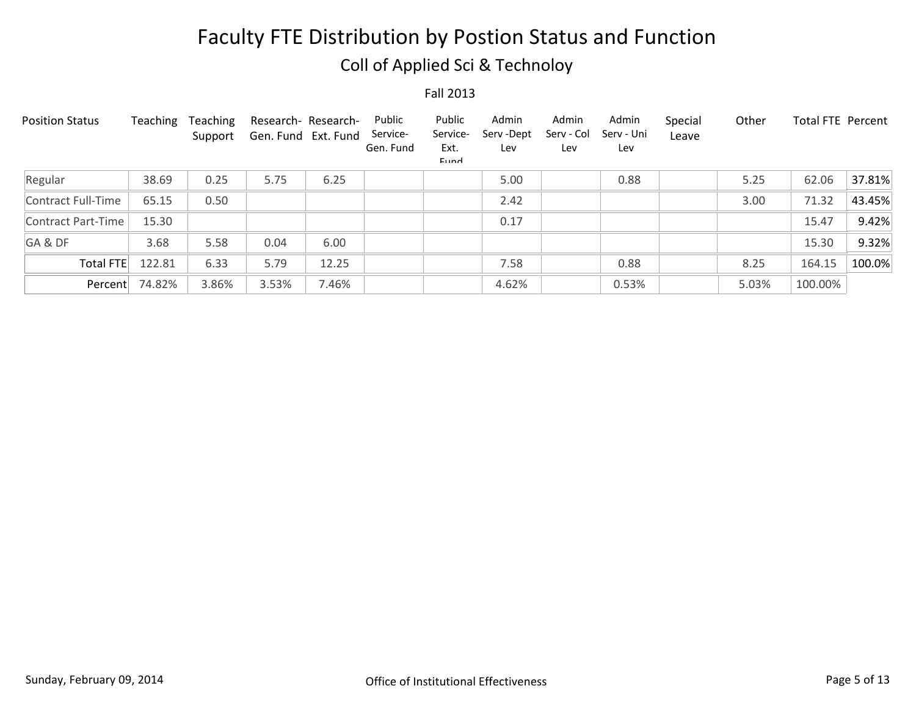## Coll of Applied Sci & Technoloy

| <b>Position Status</b> | Teaching | Teaching<br>Support | Research- Research-<br>Gen. Fund Ext. Fund |       | Public<br>Service-<br>Gen. Fund | Public<br>Service-<br>Ext.<br><b>Fund</b> | Admin<br>Serv-Dept<br>Lev | Admin<br>Serv - Col<br>Lev | Admin<br>Serv - Uni<br>Lev | Special<br>Leave | Other | <b>Total FTE Percent</b> |        |
|------------------------|----------|---------------------|--------------------------------------------|-------|---------------------------------|-------------------------------------------|---------------------------|----------------------------|----------------------------|------------------|-------|--------------------------|--------|
| Regular                | 38.69    | 0.25                | 5.75                                       | 6.25  |                                 |                                           | 5.00                      |                            | 0.88                       |                  | 5.25  | 62.06                    | 37.81% |
| Contract Full-Time     | 65.15    | 0.50                |                                            |       |                                 |                                           | 2.42                      |                            |                            |                  | 3.00  | 71.32                    | 43.45% |
| Contract Part-Time     | 15.30    |                     |                                            |       |                                 |                                           | 0.17                      |                            |                            |                  |       | 15.47                    | 9.42%  |
| GA&DF                  | 3.68     | 5.58                | 0.04                                       | 6.00  |                                 |                                           |                           |                            |                            |                  |       | 15.30                    | 9.32%  |
| Total FTE              | 122.81   | 6.33                | 5.79                                       | 12.25 |                                 |                                           | 7.58                      |                            | 0.88                       |                  | 8.25  | 164.15                   | 100.0% |
| Percent                | 74.82%   | 3.86%               | 3.53%                                      | 7.46% |                                 |                                           | 4.62%                     |                            | 0.53%                      |                  | 5.03% | 100.00%                  |        |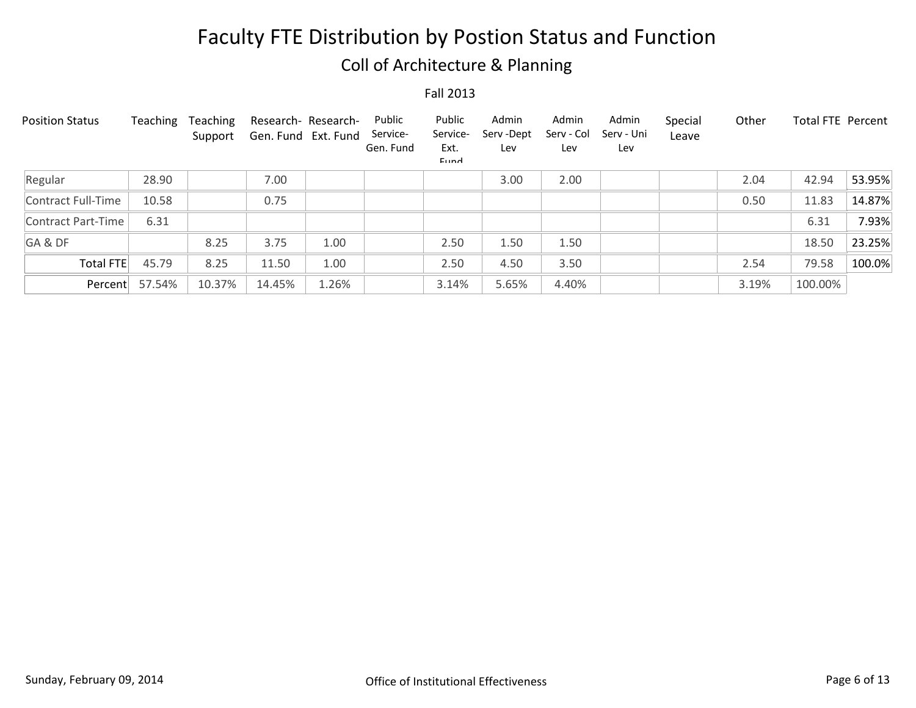## Coll of Architecture & Planning

| <b>Position Status</b> | Teaching | <b>Teaching</b><br>Support | Research- Research-<br>Gen. Fund Ext. Fund |       | Public<br>Service-<br>Gen. Fund | Public<br>Service-<br>Ext.<br>Eund | Admin<br>Serv-Dept<br>Lev | Admin<br>Serv - Col<br>Lev | Admin<br>Serv - Uni<br>Lev | Special<br>Leave | Other | <b>Total FTE Percent</b> |        |
|------------------------|----------|----------------------------|--------------------------------------------|-------|---------------------------------|------------------------------------|---------------------------|----------------------------|----------------------------|------------------|-------|--------------------------|--------|
| Regular                | 28.90    |                            | 7.00                                       |       |                                 |                                    | 3.00                      | 2.00                       |                            |                  | 2.04  | 42.94                    | 53.95% |
| Contract Full-Time     | 10.58    |                            | 0.75                                       |       |                                 |                                    |                           |                            |                            |                  | 0.50  | 11.83                    | 14.87% |
| Contract Part-Time     | 6.31     |                            |                                            |       |                                 |                                    |                           |                            |                            |                  |       | 6.31                     | 7.93%  |
| GA&DF                  |          | 8.25                       | 3.75                                       | 1.00  |                                 | 2.50                               | 1.50                      | 1.50                       |                            |                  |       | 18.50                    | 23.25% |
| <b>Total FTE</b>       | 45.79    | 8.25                       | 11.50                                      | 1.00  |                                 | 2.50                               | 4.50                      | 3.50                       |                            |                  | 2.54  | 79.58                    | 100.0% |
| Percent                | 57.54%   | 10.37%                     | 14.45%                                     | 1.26% |                                 | 3.14%                              | 5.65%                     | 4.40%                      |                            |                  | 3.19% | 100.00%                  |        |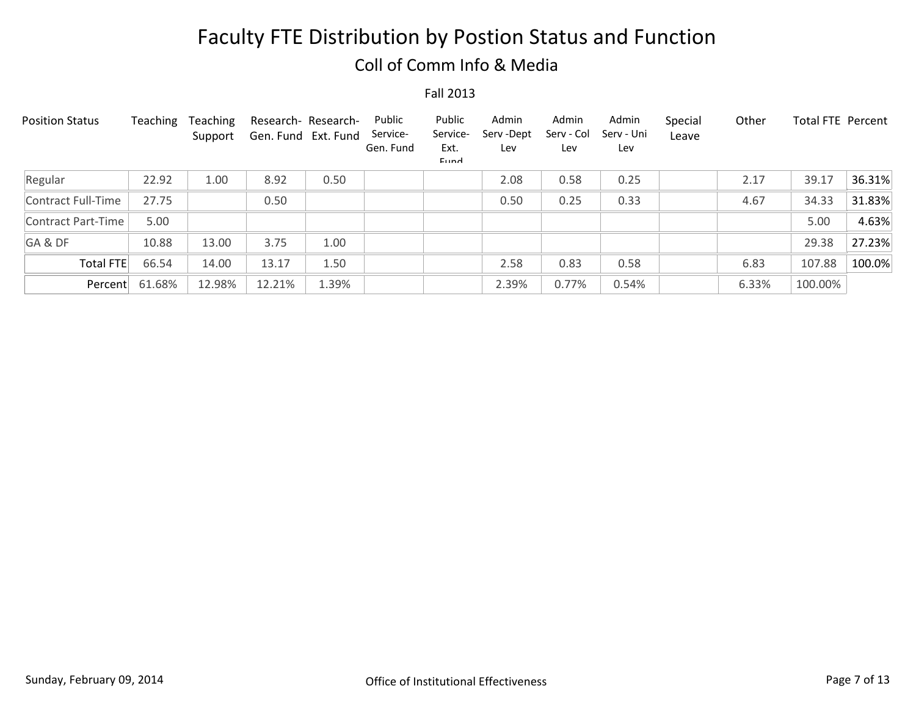### Coll of Comm Info & Media

| <b>Position Status</b> | Teaching | Teaching<br>Support | Gen. Fund Ext. Fund | Research- Research- | Public<br>Service-<br>Gen. Fund | Public<br>Service-<br>Ext.<br>Eund | Admin<br>Serv-Dept<br>Lev | Admin<br>Serv - Col<br>Lev | Admin<br>Serv - Uni<br>Lev | Special<br>Leave | Other | <b>Total FTE Percent</b> |        |
|------------------------|----------|---------------------|---------------------|---------------------|---------------------------------|------------------------------------|---------------------------|----------------------------|----------------------------|------------------|-------|--------------------------|--------|
| Regular                | 22.92    | 1.00                | 8.92                | 0.50                |                                 |                                    | 2.08                      | 0.58                       | 0.25                       |                  | 2.17  | 39.17                    | 36.31% |
| Contract Full-Time     | 27.75    |                     | 0.50                |                     |                                 |                                    | 0.50                      | 0.25                       | 0.33                       |                  | 4.67  | 34.33                    | 31.83% |
| Contract Part-Time     | 5.00     |                     |                     |                     |                                 |                                    |                           |                            |                            |                  |       | 5.00                     | 4.63%  |
| GA&DF                  | 10.88    | 13.00               | 3.75                | 1.00                |                                 |                                    |                           |                            |                            |                  |       | 29.38                    | 27.23% |
| <b>Total FTE</b>       | 66.54    | 14.00               | 13.17               | 1.50                |                                 |                                    | 2.58                      | 0.83                       | 0.58                       |                  | 6.83  | 107.88                   | 100.0% |
| Percent                | 61.68%   | 12.98%              | 12.21%              | 1.39%               |                                 |                                    | 2.39%                     | 0.77%                      | 0.54%                      |                  | 6.33% | 100.00%                  |        |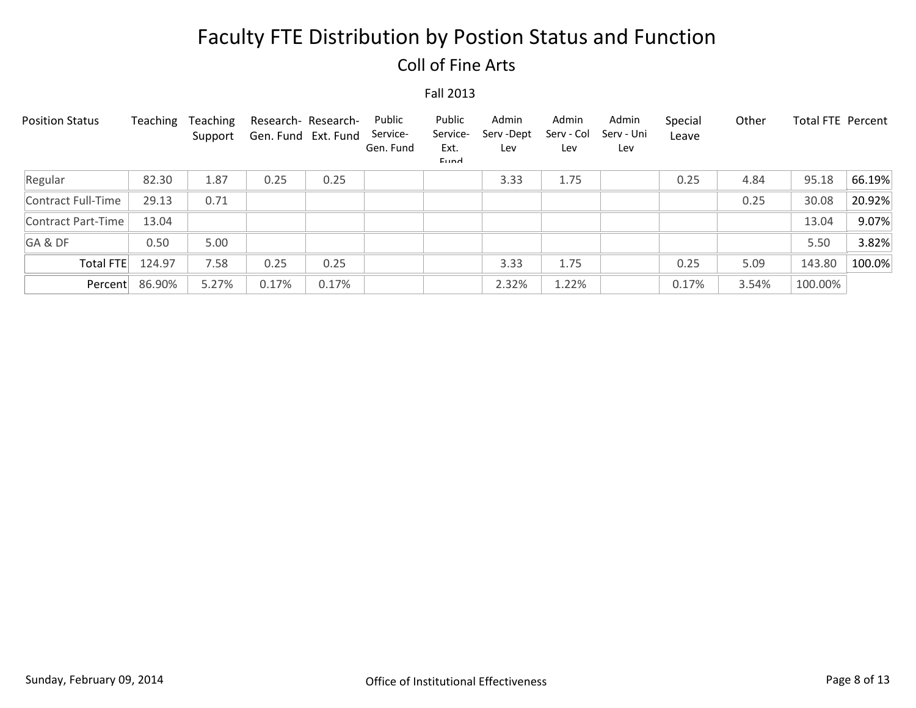## Coll of Fine Arts

| <b>Position Status</b> | Teaching | Teaching<br>Support | Research- Research-<br>Gen. Fund Ext. Fund |       | Public<br>Service-<br>Gen. Fund | Public<br>Service-<br>Ext.<br>Eund | Admin<br>Serv-Dept<br>Lev | Admin<br>Serv - Col<br>Lev | Admin<br>Serv - Uni<br>Lev | Special<br>Leave | Other | <b>Total FTE Percent</b> |        |
|------------------------|----------|---------------------|--------------------------------------------|-------|---------------------------------|------------------------------------|---------------------------|----------------------------|----------------------------|------------------|-------|--------------------------|--------|
| Regular                | 82.30    | 1.87                | 0.25                                       | 0.25  |                                 |                                    | 3.33                      | 1.75                       |                            | 0.25             | 4.84  | 95.18                    | 66.19% |
| Contract Full-Time     | 29.13    | 0.71                |                                            |       |                                 |                                    |                           |                            |                            |                  | 0.25  | 30.08                    | 20.92% |
| Contract Part-Time     | 13.04    |                     |                                            |       |                                 |                                    |                           |                            |                            |                  |       | 13.04                    | 9.07%  |
| GA&DF                  | 0.50     | 5.00                |                                            |       |                                 |                                    |                           |                            |                            |                  |       | 5.50                     | 3.82%  |
| <b>Total FTE</b>       | 124.97   | 7.58                | 0.25                                       | 0.25  |                                 |                                    | 3.33                      | 1.75                       |                            | 0.25             | 5.09  | 143.80                   | 100.0% |
| Percent                | 86.90%   | 5.27%               | 0.17%                                      | 0.17% |                                 |                                    | 2.32%                     | 1.22%                      |                            | 0.17%            | 3.54% | 100.00%                  |        |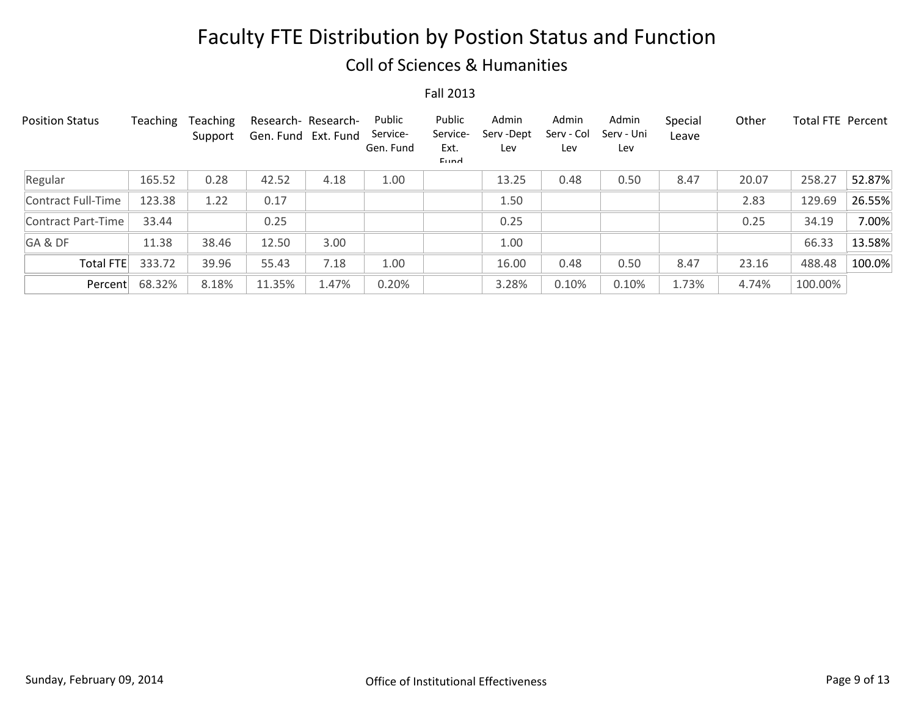#### Coll of Sciences & Humanities

| <b>Position Status</b> | Teaching | <b>Teaching</b><br>Support | Research- Research-<br>Gen. Fund Ext. Fund |       | Public<br>Service-<br>Gen. Fund | Public<br>Service-<br>Ext.<br>Eund | Admin<br>Serv-Dept<br>Lev | Admin<br>Serv - Col<br>Lev | Admin<br>Serv - Uni<br>Lev | Special<br>Leave | Other | Total FTE Percent |        |
|------------------------|----------|----------------------------|--------------------------------------------|-------|---------------------------------|------------------------------------|---------------------------|----------------------------|----------------------------|------------------|-------|-------------------|--------|
| Regular                | 165.52   | 0.28                       | 42.52                                      | 4.18  | 1.00                            |                                    | 13.25                     | 0.48                       | 0.50                       | 8.47             | 20.07 | 258.27            | 52.87% |
| Contract Full-Time     | 123.38   | 1.22                       | 0.17                                       |       |                                 |                                    | 1.50                      |                            |                            |                  | 2.83  | 129.69            | 26.55% |
| Contract Part-Time     | 33.44    |                            | 0.25                                       |       |                                 |                                    | 0.25                      |                            |                            |                  | 0.25  | 34.19             | 7.00%  |
| GA&DF                  | 11.38    | 38.46                      | 12.50                                      | 3.00  |                                 |                                    | 1.00                      |                            |                            |                  |       | 66.33             | 13.58% |
| <b>Total FTE</b>       | 333.72   | 39.96                      | 55.43                                      | 7.18  | 1.00                            |                                    | 16.00                     | 0.48                       | 0.50                       | 8.47             | 23.16 | 488.48            | 100.0% |
| Percent                | 68.32%   | 8.18%                      | 11.35%                                     | 1.47% | 0.20%                           |                                    | 3.28%                     | 0.10%                      | 0.10%                      | 1.73%            | 4.74% | 100.00%           |        |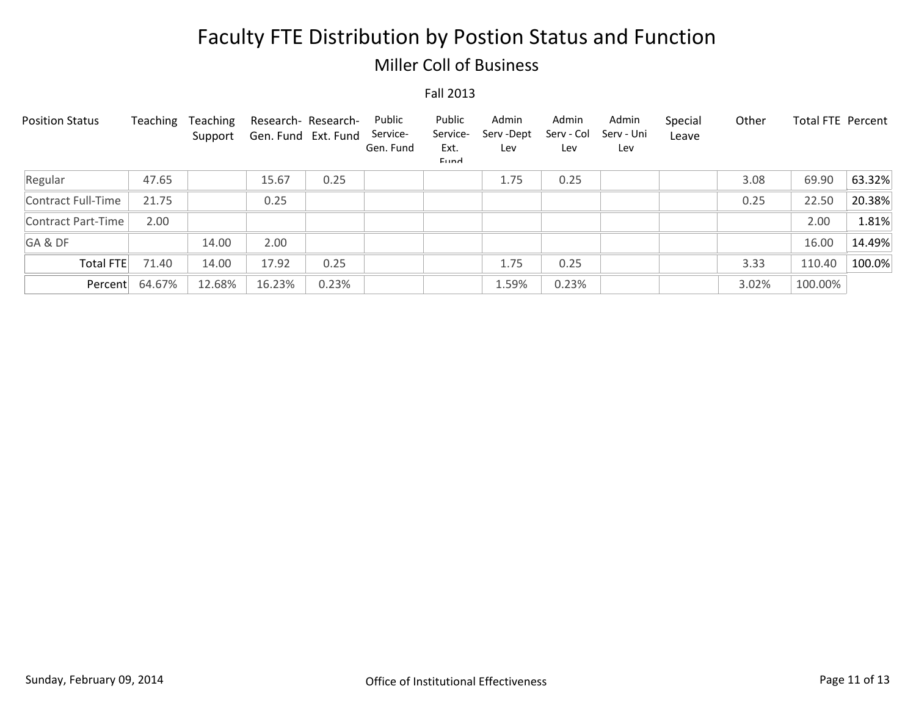#### Miller Coll of Business

| <b>Position Status</b> | Teaching | Teaching<br>Support | Research- Research-<br>Gen. Fund Ext. Fund |       | Public<br>Service-<br>Gen. Fund | Public<br>Service-<br>Ext.<br>Eund | Admin<br>Serv-Dept<br>Lev | Admin<br>Serv - Col<br>Lev | Admin<br>Serv - Uni<br>Lev | Special<br>Leave | Other | <b>Total FTE Percent</b> |        |
|------------------------|----------|---------------------|--------------------------------------------|-------|---------------------------------|------------------------------------|---------------------------|----------------------------|----------------------------|------------------|-------|--------------------------|--------|
| Regular                | 47.65    |                     | 15.67                                      | 0.25  |                                 |                                    | 1.75                      | 0.25                       |                            |                  | 3.08  | 69.90                    | 63.32% |
| Contract Full-Time     | 21.75    |                     | 0.25                                       |       |                                 |                                    |                           |                            |                            |                  | 0.25  | 22.50                    | 20.38% |
| Contract Part-Time     | 2.00     |                     |                                            |       |                                 |                                    |                           |                            |                            |                  |       | 2.00                     | 1.81%  |
| GA&DF                  |          | 14.00               | 2.00                                       |       |                                 |                                    |                           |                            |                            |                  |       | 16.00                    | 14.49% |
| Total FTE              | 71.40    | 14.00               | 17.92                                      | 0.25  |                                 |                                    | 1.75                      | 0.25                       |                            |                  | 3.33  | 110.40                   | 100.0% |
| Percent                | 64.67%   | 12.68%              | 16.23%                                     | 0.23% |                                 |                                    | 1.59%                     | 0.23%                      |                            |                  | 3.02% | 100.00%                  |        |